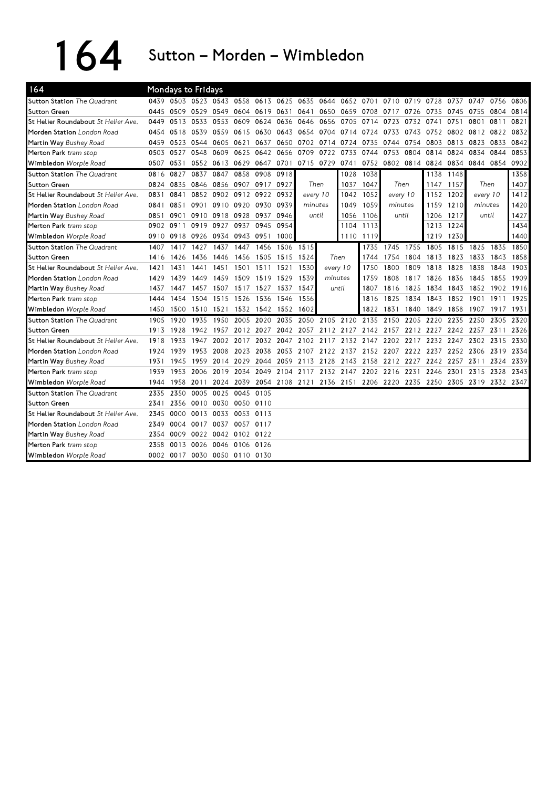164 Sutton – Morden – Wimbledon

| 164                                        |      |      | Mondays to Fridays            |           |           |                     |                                              |           |                  |      |                     |           |                     |              |               |           |           |      |
|--------------------------------------------|------|------|-------------------------------|-----------|-----------|---------------------|----------------------------------------------|-----------|------------------|------|---------------------|-----------|---------------------|--------------|---------------|-----------|-----------|------|
| <b>Sutton Station</b> The Quadrant         |      |      | 0439 0503 0523 0543 0558      |           |           |                     | 0613 0625                                    | 0635 0644 |                  |      | 0652 0701           |           | 0710 0719 0728      |              | 0737          | 0747      | 0756      | 0806 |
| Sutton Green                               | 0445 | 0509 | 0529 0549                     |           |           | 0604 0619 0631      |                                              | 0641      | 0650             | 0659 | 0708                | 0717      | 0726                | 0735         | 0745          | 0755      | 0804      | 0814 |
| <b>St Helier Roundabout</b> St Helier Ave. | 0449 | 0513 | 0533                          | 0553      | 0609      | 0624                | 0636                                         | 0646      | 0656             | 0705 | 0714                | 0723      | 0732                | 0741         | 0751          | 0801      | 0811      | 0821 |
| Morden Station London Road                 | 0454 | 0518 | 0539                          | 0559      | 0615      | 0630                | 0643                                         |           | 0654 0704        | 0714 | 0724                | 0733      | 0743                | 0752         |               | 0802 0812 | 0822      | 0832 |
| Martin Way Bushey Road                     | 0459 | 0523 | 0544                          | 0605      | 0621      | 0637                | 0650                                         |           | 0702 0714        | 0724 | 0735                | 0744      | 0754                | 0803         | 0813          | 0823      | 0833      | 0842 |
| Merton Park tram stop                      | 0503 | 0527 | 0548                          | 0609      | 0625      | 0642                | 0656                                         | 0709      | 0722             | 0733 | 0744                | 0753      | 0804                | 0814         | 0824          | 0834      | 0844      | 0853 |
| Wimbledon Worple Road                      | 0507 | 0531 |                               | 0552 0613 | 0629      | 0647                | 0701                                         | 0715 0729 |                  | 0741 |                     |           | 0752 0802 0814 0824 |              | 0834          |           | 0844 0854 | 0902 |
| <b>Sutton Station</b> The Quadrant         | 0816 | 0827 | 0837                          | 0847      | 0858      | 0908                | 0918                                         |           |                  | 1028 | 1038                |           |                     | 1138         | 1148          |           |           | 1358 |
| <b>Sutton Green</b>                        | 0824 | 0835 | 0846                          | 0856      |           | 0907 0917 0927      |                                              | Then      |                  | 1037 | 1047                | Then      |                     | 1147         | 1157          |           | Then      | 1407 |
| St Helier Roundabout St Helier Ave.        | 0831 | 0841 |                               |           |           | 0852 0902 0912 0922 | 0932                                         |           | every 10<br>1042 |      | 1052                | every 10  |                     | 1152         | 1202          | every 10  |           | 1412 |
| Morden Station London Road                 | 0841 | 0851 | 0901                          |           |           | 0910 0920 0930      | 0939                                         |           | 1049<br>minutes  |      | 1059                | minutes   |                     | 1159         | 1210          | minutes   |           | 1420 |
| Martin Way Bushey Road                     | 0851 | 0901 |                               | 0910 0918 | 0928      | 0937                | 0946                                         |           | 1056<br>until    |      | 1106                | until     |                     | 1206         | 1217<br>until |           |           | 1427 |
| Merton Park tram stop                      | 0902 | 0911 | 0919                          | 0927      | 0937      | 0945                | 0954                                         |           | 1104             |      | 1113                |           |                     | 1224<br>1213 |               |           |           | 1434 |
| Wimbledon Worple Road                      | 0910 | 0918 | 0926                          | 0934      |           | 0943 0951           | 1000                                         |           |                  | 1110 | 1119                |           |                     | 1219         | 1230          |           |           | 1440 |
| <b>Sutton Station</b> The Quadrant         | 1407 | 1417 | 1427                          | 1437      | 1447      | 1456                | 1506                                         | 1515      |                  |      | 1735                | 1745      | 1755                | 1805         | 1815          | 1825      | 1835      | 1850 |
| <b>Sutton Green</b>                        | 1416 | 1426 | 1436                          | 1446      |           | 1456 1505           | 1515                                         | 1524      |                  | Then | 1744                | 1754      | 1804                | 1813         | 1823          | 1833      | 1843      | 1858 |
| St Helier Roundabout St Helier Ave.        | 1421 | 1431 | 1441                          | 1451      |           | 1501 1511           | 1521                                         | 1530      | every 10         |      | 1750                | 1800      | 1809                | 1818         | 1828          | 1838      | 1848      | 1903 |
| Morden Station London Road                 | 1429 | 1439 | 1449                          | 1459      | 1509      | 1519                | 1529                                         | 1539      | minutes          |      | 1759                | 1808      | 1817                | 1826         | 1836          | 1845      | 1855      | 1909 |
| Martin Way Bushey Road                     | 1437 | 1447 | 1457                          | 1507      |           | 1517 1527           | 1537                                         | 1547      | until            |      | 1807                | 1816      | 1825                | 1834         | 1843          | 1852      | 1902 1916 |      |
| Merton Park tram stop                      | 1444 | 1454 | 1504                          | 1515      | 1526      | 1536                | 1546                                         | 1556      |                  |      | 1816                | 1825      | 1834                | 1843         | 1852          | 1901      | 1911      | 1925 |
| Wimbledon Worple Road                      | 1450 | 1500 | 1510 1521                     |           |           | 1532 1542 1552      |                                              | 1602      |                  |      | 1822 1831           |           | 1840                | 1849         | 1858          | 1907      | 1917 1931 |      |
| <b>Sutton Station</b> The Quadrant         | 1905 | 1920 | 1935                          | 1950      | 2005      | 2020                | 2035                                         | 2050      | 2105             | 2120 | 2135                | 2150      | 2205                | 2220         | 2235          | 2250      | 2305      | 2320 |
| <b>Sutton Green</b>                        | 1913 | 1928 | 1942                          | 1957      |           | 2012 2027           | 2042                                         |           | 2057 2112 2127   |      |                     | 2142 2157 | 2212                | 2227         | 2242          | 2257      | 2311      | 2326 |
| St Helier Roundabout St Helier Ave.        | 1918 | 1933 | 1947                          | 2002      | 2017      | 2032                | 2047                                         | 2102      | 2117             | 2132 | 2147                | 2202      | 2217                | 2232         | 2247          | 2302      | 2315      | 2330 |
| Morden Station London Road                 | 1924 | 1939 | 1953                          | 2008      | 2023      | 2038                | 2053                                         |           | 2107 2122        |      | 2137 2152 2207 2222 |           |                     | 2237         | 2252          | 2306      | 2319      | 2334 |
| Martin Way Bushey Road                     | 1931 | 1945 | 1959                          | 2014      | 2029      | 2044                | 2059                                         | 2113 2128 |                  | 2143 | 2158                | 2212      | 2227                | 2242         | 2257          | 2311      | 2324      | 2339 |
| Merton Park tram stop                      | 1939 | 1953 | 2006                          | 2019      | 2034      | 2049                | 2104                                         |           | 2117 2132        | 2147 | 2202                | 2216      | 2231                | 2246         | 2301          | 2315      | 2328      | 2343 |
| Wimbledon Worple Road                      | 1944 |      | 1958 2011                     | 2024      |           |                     | 2039 2054 2108 2121 2136 2151 2206 2220 2235 |           |                  |      |                     |           |                     | 2250         | 2305 2319     |           | 2332 2347 |      |
| <b>Sutton Station The Quadrant</b>         | 2335 | 2350 | 0005                          | 0025      | 0045 0105 |                     |                                              |           |                  |      |                     |           |                     |              |               |           |           |      |
| <b>Sutton Green</b>                        | 2341 |      | 2356 0010 0030                |           | 0050 0110 |                     |                                              |           |                  |      |                     |           |                     |              |               |           |           |      |
| St Helier Roundabout St Helier Ave.        | 2345 | 0000 | 0013 0033                     |           | 0053      | 0113                |                                              |           |                  |      |                     |           |                     |              |               |           |           |      |
| Morden Station London Road                 | 2349 |      | 0004 0017 0037                |           |           | 0057 0117           |                                              |           |                  |      |                     |           |                     |              |               |           |           |      |
| Martin Way Bushey Road                     | 2354 | 0009 | 0022 0042 0102 0122           |           |           |                     |                                              |           |                  |      |                     |           |                     |              |               |           |           |      |
| Merton Park tram stop                      | 2358 | 0013 | 0026 0046                     |           | 0106 0126 |                     |                                              |           |                  |      |                     |           |                     |              |               |           |           |      |
| Wimbledon Worple Road                      |      |      | 0002 0017 0030 0050 0110 0130 |           |           |                     |                                              |           |                  |      |                     |           |                     |              |               |           |           |      |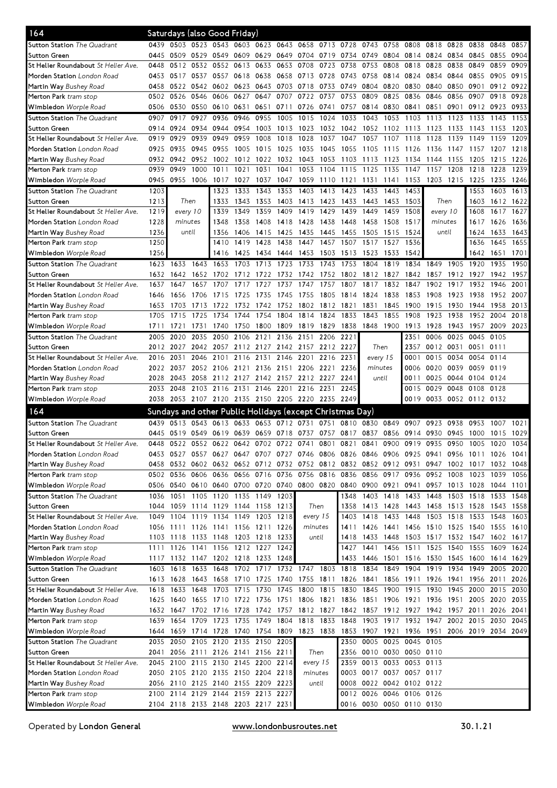|                                            |      |                     |                | Saturdays (also Good Friday)       |                |                |                     |                                                          |           |           |                |                |                                                                                           |          |                |                     |                |      |
|--------------------------------------------|------|---------------------|----------------|------------------------------------|----------------|----------------|---------------------|----------------------------------------------------------|-----------|-----------|----------------|----------------|-------------------------------------------------------------------------------------------|----------|----------------|---------------------|----------------|------|
| Sutton Station <i>The Quadrant</i>         | 0439 |                     |                | 0503 0523 0543 0603 0623 0643      |                |                |                     | 0658 0713 0728                                           |           |           | 0743 0758 0808 |                |                                                                                           | 0818     | 0828           | 0838                | 0848           | 0857 |
| Sutton Green                               | 0445 | 0509                | 0529 0549      |                                    | 0609 0629 0649 |                |                     | 0704 0719 0734                                           |           |           | 0749           |                | 0804 0814                                                                                 | 0824     | 0834           | 0845                | 0855           | 0904 |
| St Helier Roundabout St Helier Ave.        | 0448 |                     |                | 0512 0532 0552 0613                |                | 0633 0653      |                     | 0708                                                     | 0723      | 0738      | 0753           | 0808           | 0818                                                                                      | 0828     | 0838           | 0849                | 0859           | 0909 |
| Morden Station London Road                 | 0453 | 0517                | 0537 0557      |                                    | 0618 0638 0658 |                |                     | 0713 0728                                                |           | 0743      | 0758           | 0814           | 0824                                                                                      | 0834     | 0844           | 0855                | 0905           | 0915 |
| Martin Way Bushey Road                     | 0458 | 0522                | 0542 0602      |                                    | 0623           | 0643 0703      |                     | 0718                                                     | 0733      | 0749      | 0804           | 0820           | 0830                                                                                      | 0840     | 0850           | 0901                | 0912           | 0922 |
| Merton Park tram stop                      | 0502 | 0526                | 0546 0606      |                                    | 0627           | 0647           | 0707                | 0722 0737                                                |           | 0753      | 0809           | 0825           | 0836                                                                                      | 0846     | 0856           | 0907                | 0918           | 0928 |
| Wimbledon Worple Road                      | 0506 | 0530                | 0550 0610      |                                    | 0631           |                | 0651 0711           | 0726 0741                                                |           | 0757      |                | 0814 0830 0841 |                                                                                           | 0851     | 0901           |                     | 0912 0923 0933 |      |
| <b>Sutton Station</b> The Quadrant         | 0907 | 0917                | 0927           | 0936                               | 0946           | 0955           | 1005                | 1015                                                     | 1024      | 1033      | 1043           | 1053           | 1103                                                                                      | 1113     | 1123           | 1133                | 1143           | 1153 |
| Sutton Green                               | 0914 | 0924                |                | 0934 0944                          | 0954           | 1003           | 1013                | 1023                                                     | 1032      | 1042      | 1052           | 1102           | 1113                                                                                      | 1123     | 1133           | 1143                | 1153           | 1203 |
| St Helier Roundabout St Helier Ave.        | 0919 | 0929                |                | 0939 0949                          | 0959           | 1008           | 1018                | 1028                                                     | 1037      | 1047      | 1057           | 1107           | 1118                                                                                      | 1128     | 1139           | 1149                | 1159           | 1209 |
| Morden Station London Road                 | 0925 | 0935                | 0945           | 0955                               | 1005           | 1015           | 1025                | 1035                                                     | 1045      | 1055      | 1105           | 1115           | 1126                                                                                      | 1136     | 1147           | 1157                | 1207           | 1218 |
| <b>Martin Way</b> Bushey Road              | 0932 | 0942                | 0952           | 1002                               | 1012           | 1022           | 1032                | 1043                                                     | 1053      | 1103      | 1113           | 1123           | 1134                                                                                      | 1144     | 1155           | 1205                | 1215           | 1226 |
| <b>Merton Park</b> tram stop               | 0939 | 0949                | 1000           | 1011                               | 1021           | 1031           | 1041                | 1053                                                     | 1104      | 1115      | 1125           | 1135           | 1147                                                                                      | 1157     | 1208           | 1218                | 1228           | 1239 |
| Wimbledon Worple Road                      | 0945 | 0955                | 1006 1017      |                                    | 1027           | 1037           | 1047                | 1059                                                     | 1110 1121 |           | 1131           | 1141           | 1153                                                                                      |          | 1203 1215 1225 |                     | 1235           | 1246 |
| Sutton Station The Quadrant                | 1203 |                     |                | 1323                               | 1333           | 1343           | 1353                | 1403                                                     | 1413      | 1423      | 1433           | 1443           | 1453                                                                                      |          |                | 1553                | 1603           | 1613 |
| <b>Sutton Green</b>                        | 1213 |                     | Then           | 1333                               | 1343           | 1353           | 1403                | 1413 1423                                                |           | 1433      |                | 1443 1453      | 1503                                                                                      |          | Then           | 1603                | 1612 1622      |      |
| St Helier Roundabout St Helier Ave.        | 1219 |                     | every 10       | 1339                               | 1349           | 1359           | 1409                | 1419                                                     | 1429      | 1439      | 1449           | 1459           | 1508                                                                                      | every 10 |                | 1608                | 1617           | 1627 |
| Morden Station London Road                 | 1228 | minutes             |                | 1348                               | 1358           | 1408           | 1418                | 1428                                                     | 1438      | 1448      | 1458           | 1508           | 1517                                                                                      |          | minutes        | 1617                | 1626           | 1636 |
| <b>Martin Way</b> Bushey Road              | 1236 | until               |                | 1356                               | 1406           | 1415           | 1425                | 1435                                                     | 1445      | 1455      | 1505           | 1515           | 1524                                                                                      |          |                | 1624                | 1633           | 1643 |
| Merton Park tram stop                      | 1250 |                     |                | 1410                               | 1419           | 1428           | 1438                | 1447                                                     | 1457      | 1507      | 1517           | 1527           | 1536                                                                                      | until    |                | 1636                | 1645           | 1655 |
| Wimbledon Worple Road                      | 1256 |                     |                | 1416                               |                | 1425 1434 1444 |                     | 1453 1503                                                |           | 1513      | 1523           | 1533           | 1542                                                                                      |          |                | 1642                | 1651           | 1701 |
| Sutton Station The Quadrant                | 1623 | 1633                | 1643           | 1653                               |                | 1703 1713      | 1723                | 1733                                                     | 1743      | 1753      | 1804           | 1819           | 1834                                                                                      | 1849     | 1905           | 1920                | 1935           | 1950 |
|                                            |      |                     |                |                                    |                |                |                     |                                                          |           |           |                |                |                                                                                           |          |                |                     |                | 1957 |
| Sutton Green                               | 1632 | 1642                | 1652           | 1702                               |                | 1712 1722      | 1732                | 1742                                                     | 1752      | 1802      | 1812           | 1827           | 1842                                                                                      | 1857     | 1912           | 1927                | 1942           |      |
| St Helier Roundabout St Helier Ave.        | 1637 | 1647                | 1657           | 1707                               | 1717           | 1727           | 1737                | 1747                                                     | 1757      | 1807      | 1817           | 1832           | 1847                                                                                      | 1902     | 1917           | 1932                | 1946           | 2001 |
| <b>Morden Station</b> London Road          | 1646 | 1656                | 1706           | 1715                               | 1725           | 1735           | 1745                | 1755                                                     | 1805      | 1814      | 1824           | 1838           | 1853                                                                                      | 1908     | 1923           | 1938                | 1952           | 2007 |
| <b>Martin Way</b> Bushey Road              | 1653 | 1703                | 1713           | 1722                               | 1732           | 1742           | 1752                | 1802                                                     | 1812      | 1821      | 1831           | 1845           | 1900                                                                                      | 1915     | 1930           | 1944                | 1958           | 2013 |
| Merton Park tram stop                      | 1705 | 1715                | 1725           | 1734                               | 1744           | 1754           | 1804                | 1814                                                     | 1824      | 1833      | 1843           | 1855           | 1908                                                                                      | 1923     | 1938           | 1952                | 2004           | 2018 |
| Wimbledon Worple Road                      | 1711 | 1721                | 1731           | 1740                               |                | 1750 1800 1809 |                     | 1819 1829                                                |           | 1838      | 1848 1900 1913 |                |                                                                                           | 1928     | 1943           | 1957                | 2009 2023      |      |
| Sutton Station The Quadrant                | 2005 | 2020                | 2035           | 2050                               |                | 2106 2121      | 2136                | 2151                                                     | 2206      | 2221      |                |                | 2351                                                                                      | 0006     | 0025           | 0045                | 0105           |      |
| <b>Sutton Green</b>                        | 2012 | 2027                |                | 2042 2057                          |                |                |                     | 2112 2127 2142 2157 2212 2227                            |           |           |                | Then           | 2357                                                                                      | 0012     | 0031           | 0051                | 0111           |      |
| St Helier Roundabout St Helier Ave.        | 2016 | 2031                |                | 2046 2101                          | 2116           | 2131           | 2146                | 2201                                                     | 2216      | 2231      | every 15       |                | 0001                                                                                      | 0015     | 0034 0054      |                     | 0114           |      |
| Morden Station London Road                 | 2022 | 2037                |                | 2052 2106                          | 2121 2136 2151 |                |                     | 2206 2221                                                |           | 2236      | minutes        |                | 0006                                                                                      | 0020     | 0039 0059      |                     | 0119           |      |
| <b>Martin Way</b> Bushey Road              | 2028 | 2043                |                | 2058 2112 2127 2142 2157           |                |                |                     | 2212 2227                                                |           | 2241      | until          |                | 0011                                                                                      | 0025     | 0044 0104      |                     | 0124           |      |
| Merton Park tram stop                      | 2033 | 2048                |                | 2103 2116                          | 2131           | 2146 2201      |                     | 2216                                                     | 2231      | 2245      |                |                | 0015                                                                                      | 0029     | 0048 0108      |                     | 0128           |      |
| Wimbledon Worple Road                      | 2038 |                     |                |                                    |                |                |                     | 2053 2107 2120 2135 2150 2205 2220 2235 2249             |           |           |                |                | 0019                                                                                      |          |                | 0033 0052 0112 0132 |                |      |
| 164                                        |      |                     |                |                                    |                |                |                     | Sundays and other Public Holidays (except Christmas Day) |           |           |                |                |                                                                                           |          |                |                     |                |      |
| Sutton Station The Quadrant                |      |                     |                |                                    | 0633           | 0653           |                     |                                                          | 0751      | 0810      | 0830           | 0849           | 0907                                                                                      | 0923     |                |                     | 1007           | 1021 |
|                                            | 0439 | 0513                | 0543 0613      |                                    |                |                | 0712                | 0731                                                     |           |           |                |                |                                                                                           |          | 0938           | 0953                |                |      |
| Sutton Green                               | 0445 |                     |                |                                    |                |                |                     | 0519 0549 0619 0639 0659 0718 0737 0757 0817 0837        |           |           |                |                | 0856 0914 0930                                                                            |          | 0945 1000      |                     | 1015           | 1029 |
| St Helier Roundabout St Helier Ave         | 0448 |                     |                |                                    |                |                |                     | 0522 0552 0622 0642 0702 0722 0741                       | 0801      | 0821 0841 |                |                | 0900 0919                                                                                 | 0935     | 0950 1005      |                     | 1020 1034      |      |
| Morden Station London Road                 |      |                     |                |                                    |                |                |                     |                                                          |           |           |                |                | 0453 0527 0557 0627 0647 0707 0727 0746 0806 0826 0846 0906 0925 0941 0956 1011 1026 1041 |          |                |                     |                |      |
| Martin Way Bushey Road                     | 0458 |                     |                | 0532 0602 0632 0652 0712 0732      |                |                |                     | 0752 0812 0832 0852 0912 0931                            |           |           |                |                |                                                                                           | 0947     |                | 1002 1017           | 1032 1048      |      |
| <b>Merton Park</b> tram stop               |      | 0502 0536 0606 0636 |                |                                    | 0656 0716 0736 |                |                     | 0756 0816 0836                                           |           |           | 0856 0917 0936 |                |                                                                                           |          | 0952 1008      | 1023                | 1039           | 1056 |
| <b>Wimbledon</b> Worple Road               |      |                     |                | 0506 0540 0610 0640 0700 0720 0740 |                |                |                     |                                                          | 0800 0820 |           |                |                | 0840 0900 0921 0941 0957 1013 1028                                                        |          |                |                     | 1044 1101      |      |
| Sutton Station The Quadrant                | 1036 | 1051                |                | 1105 1120                          |                | 1135 1149 1203 |                     |                                                          |           | 1348      |                | 1403 1418      | 1433                                                                                      | 1448     |                | 1503 1518           | 1533           | 1548 |
| Sutton Green                               | 1044 | 1059                |                | 1114 1129                          | 1144 1158 1213 |                |                     | Then                                                     |           | 1358      |                |                | 1413 1428 1443 1458 1513 1528                                                             |          |                |                     | 1543 1558      |      |
| St Helier Roundabout St Helier Ave.        | 1049 | 1104                | 1119 1134      |                                    | 1149 1203 1218 |                |                     | every 15                                                 |           | 1403      | 1418 1433      |                | 1448                                                                                      |          | 1503 1518 1533 |                     | 1548           | 1603 |
| Morden Station London Road                 |      |                     |                | 1056 1111 1126 1141 1156 1211 1226 |                |                |                     | minutes                                                  |           |           |                |                | 1411 1426 1441 1456 1510 1525 1540 1555 1610                                              |          |                |                     |                |      |
| Martin Way Bushey Road                     |      | 1103 1118 1133 1148 |                |                                    | 1203 1218 1233 |                |                     | until                                                    |           | 1418      |                |                | 1433 1448 1503 1517 1532 1547 1602 1617                                                   |          |                |                     |                |      |
| Merton Park <i>tram stop</i>               |      | 1111 1126 1141 1156 |                |                                    | 1212 1227 1242 |                |                     |                                                          |           | 1427      | 1441           |                | 1456 1511 1525 1540 1555                                                                  |          |                |                     | 1609           | 1624 |
| <b>Wimbledon</b> Worple Road               |      |                     |                | 1117 1132 1147 1202 1218 1233 1248 |                |                |                     |                                                          |           | 1433      | 1446           |                | 1501 1516 1530 1545 1600                                                                  |          |                |                     | 1614 1629      |      |
| Sutton Station The Quadrant                | 1603 | 1618                |                | 1633 1648                          |                |                | 1702 1717 1732 1747 |                                                          | 1803 1818 |           | 1834           |                | 1849 1904                                                                                 | 1919     | 1934           | 1949                | 2005           | 2020 |
| Sutton Green                               |      | 1613 1628           |                | 1643 1658                          | 1710 1725 1740 |                |                     | 1755 1811                                                |           | 1826      | 1841           |                | 1856 1911                                                                                 | 1926     | 1941           | 1956                | 2011           | 2026 |
| St Helier Roundabout <i>St Helier Ave.</i> | 1618 | 1633                | 1648           | 1703                               | 1715 1730 1745 |                |                     | 1800                                                     | 1815      | 1830      |                | 1845 1900      | 1915                                                                                      | 1930     | 1945 2000      |                     | 2015 2030      |      |
| Morden Station London Road                 | 1625 | 1640                |                |                                    |                |                |                     | 1655 1710 1722 1736 1751 1806 1821                       |           | 1836      |                |                | 1851 1906 1921 1936 1951 2005 2020                                                        |          |                |                     |                | 2035 |
| <b>Martin Way</b> Bushey Road              | 1632 | 1647                |                | 1702 1716                          | 1728           | 1742 1757      |                     | 1812 1827                                                |           |           |                |                | 1842 1857 1912 1927 1942 1957 2011                                                        |          |                |                     | 2026           | 2041 |
| <b>Merton Park</b> tram stop               | 1639 | 1654                | 1709           | 1723                               | 1735           | 1749 1804      |                     | 1818 1833                                                |           | 1848      |                |                | 1903 1917 1932 1947                                                                       |          | 2002 2015      |                     | 2030           | 2045 |
| <b>Wimbledon</b> Worple Road               | 1644 | 1659                | 1714 1728      |                                    | 1740 1754 1809 |                |                     | 1823 1838                                                |           | 1853      |                |                | 1907 1921 1936 1951 2006 2019 2034 2049                                                   |          |                |                     |                |      |
| Sutton Station The Quadrant                | 2035 | 2050                | 2105 2120      |                                    | 2135           | 2150           | 2205                |                                                          |           | 2350      |                |                | 0005 0025 0045 0105                                                                       |          |                |                     |                |      |
| Sutton Green                               | 2041 |                     | 2056 2111 2126 |                                    | 2141 2156 2211 |                |                     | Then                                                     |           | 2356      |                |                | 0010 0030 0050 0110                                                                       |          |                |                     |                |      |
| St Helier Roundabout St Helier Ave.        | 2045 | 2100                | 2115 2130      |                                    | 2145 2200 2214 |                |                     | every 15                                                 |           |           |                |                | 2359 0013 0033 0053 0113                                                                  |          |                |                     |                |      |
| Morden Station London Road                 | 2050 |                     |                | 2105 2120 2135 2150 2204 2218      |                |                |                     | minutes                                                  |           |           |                |                | 0003 0017 0037 0057 0117                                                                  |          |                |                     |                |      |
| <b>Martin Way</b> Bushey Road              | 2056 |                     |                | 2110 2125 2140 2155 2209 2223      |                |                |                     |                                                          | until     |           |                |                | 0008 0022 0042 0102 0122                                                                  |          |                |                     |                |      |
| <b>Merton Park</b> tram stop               | 2100 |                     |                | 2114 2129 2144 2159 2213 2227      |                |                |                     |                                                          |           |           |                |                | 0012 0026 0046 0106 0126                                                                  |          |                |                     |                |      |
| Wimbledon Worple Road                      |      |                     |                | 2104 2118 2133 2148 2203 2217 2231 |                |                |                     |                                                          |           |           |                |                | 0016 0030 0050 0110 0130                                                                  |          |                |                     |                |      |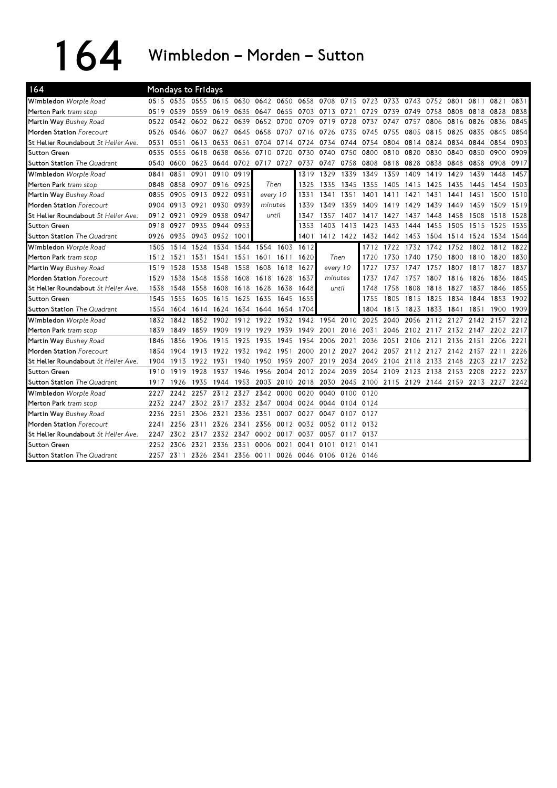164 Wimbledon – Morden – Sutton

| 164                                 |      |           | Mondays to Fridays |                          |           |                |                                                   |           |                     |      |                                    |           |      |      |                |      |                                              |      |
|-------------------------------------|------|-----------|--------------------|--------------------------|-----------|----------------|---------------------------------------------------|-----------|---------------------|------|------------------------------------|-----------|------|------|----------------|------|----------------------------------------------|------|
| Wimbledon Worple Road               |      |           |                    | 0515 0535 0555 0615 0630 |           |                | 0642 0650 0658 0708 0715 0723 0733 0743 0752 0801 |           |                     |      |                                    |           |      |      |                | 0811 | 0821                                         | 0831 |
| Merton Park tram stop               | 0519 | 0539      |                    | 0559 0619                | 0635      |                | 0647 0655                                         |           | 0703 0713 0721      |      | 0729                               | 0739 0749 |      | 0758 | 0808           | 0818 | 0828                                         | 0838 |
| Martin Way Bushey Road              | 0522 | 0542      | 0602               | 0622                     | 0639      | 0652           | 0700                                              | 0709      | 0719                | 0728 | 0737                               | 0747      | 0757 | 0806 | 0816           | 0826 | 0836                                         | 0845 |
| Morden Station Forecourt            | 0526 | 0546      | 0607 0627          |                          | 0645      |                | 0658 0707                                         | 0716      | 0726                | 0735 | 0745                               | 0755      | 0805 | 0815 | 0825 0835      |      | 0845                                         | 0854 |
| St Helier Roundabout St Helier Ave. | 0531 | 0551      |                    | 0613 0633                | 0651      |                | 0704 0714                                         | 0724      | 0734                | 0744 | 0754                               | 0804      | 0814 | 0824 | 0834           | 0844 | 0854                                         | 0903 |
| Sutton Green                        | 0535 | 0555      | 0618               | 0638                     | 0656      | 0710           | 0720                                              | 0730      | 0740                | 0750 | 0800                               | 0810      | 0820 | 0830 | 0840           | 0850 | 0900                                         | 0909 |
| <b>Sutton Station</b> The Quadrant  | 0540 | 0600      |                    | 0623 0644                |           | 0702 0717 0727 |                                                   | 0737      | 0747                | 0758 | 0808                               | 0818 0828 |      | 0838 | 0848           | 0858 | 0908                                         | 0917 |
| Wimbledon Worple Road               | 0841 | 0851      | 0901               | 0910                     | 0919      |                |                                                   | 1319      | 1329                | 1339 | 1349                               | 1359      | 1409 | 1419 | 1429           | 1439 | 1448                                         | 1457 |
| Merton Park tram stop               | 0848 | 0858      | 0907 0916          |                          | 0925      |                | Then                                              | 1325      | 1335                | 1345 | 1355                               | 1405      | 1415 | 1425 | 1435           | 1445 | 1454                                         | 1503 |
| Martin Way Bushey Road              | 0855 | 0905      |                    | 0913 0922 0931           |           | every 10       |                                                   | 1331      | 1341                | 1351 | 1401                               | 1411      | 1421 | 1431 | 1441           | 1451 | 1500                                         | 1510 |
| Morden Station Forecourt            | 0904 |           | 0913 0921 0930     |                          | 0939      | minutes        |                                                   | 1339      | 1349                | 1359 | 1409                               | 1419      | 1429 | 1439 | 1449           | 1459 | 1509                                         | 1519 |
| St Helier Roundabout St Helier Ave. |      | 0912 0921 |                    | 0929 0938                | 0947      |                | until                                             | 1347      | 1357                | 1407 | 1417                               | 1427      | 1437 | 1448 | 1458           | 1508 | 1518                                         | 1528 |
| <b>Sutton Green</b>                 | 0918 | 0927      |                    | 0935 0944                | 0953      |                |                                                   | 1353      | 1403                | 1413 | 1423                               | 1433      | 1444 | 1455 | 1505           | 1515 | 1525                                         | 1535 |
| Sutton Station The Quadrant         | 0926 | 0935      | 0943 0952          |                          | 1001      |                |                                                   | 1401      |                     |      | 1412 1422 1432 1442                |           | 1453 | 1504 | 1514 1524      |      | 1534                                         | 1544 |
| Wimbledon Worple Road               | 1505 | 1514      | 1524               | 1534                     | 1544      | 1554           | 1603                                              | 1612      |                     |      | 1712                               | 1722      | 1732 | 1742 | 1752           | 1802 | 1812                                         | 1822 |
| Merton Park tram stop               | 1512 | 1521      | 1531               | 1541                     | 1551      | 1601           | 1611                                              | 1620      | Then                |      | 1720                               | 1730      | 1740 | 1750 | 1800           | 1810 | 1820                                         | 1830 |
| Martin Way Bushey Road              | 1519 | 1528      | 1538               | 1548                     | 1558      | 1608           | 1618                                              | 1627      | every 10            |      | 1727                               | 1737      | 1747 | 1757 | 1807           | 1817 | 1827                                         | 1837 |
| Morden Station Forecourt            | 1529 | 1538      | 1548               | 1558                     | 1608      | 1618           | 1628                                              | 1637      | minutes             |      | 1737                               | 1747      | 1757 | 1807 | 1816           | 1826 | 1836                                         | 1845 |
| St Helier Roundabout St Helier Ave. | 1538 | 1548      | 1558               | 1608                     | 1618      | 1628           | 1638                                              | 1648      | until               |      | 1748                               | 1758      | 1808 | 1818 | 1827           | 1837 | 1846                                         | 1855 |
| <b>Sutton Green</b>                 | 1545 | 1555      | 1605               | 1615                     |           | 1625 1635      | 1645                                              | 1655      |                     |      | 1755                               | 1805      | 1815 | 1825 | 1834           | 1844 | 1853                                         | 1902 |
| Sutton Station The Quadrant         | 1554 | 1604      |                    | 1614 1624                |           | 1634 1644      | 1654                                              | 1704      |                     |      | 1804                               | 1813      | 1823 | 1833 | 1841           | 1851 | 1900                                         | 1909 |
| Wimbledon Worple Road               | 1832 | 1842      |                    | 1852 1902                |           | 1912 1922      | 1932                                              |           | 1942 1954 2010      |      | 2025 2040                          |           | 2056 |      | 2112 2127 2142 |      | 2157                                         | 2212 |
| Merton Park tram stop               | 1839 | 1849      |                    | 1859 1909                | 1919 1929 |                | 1939                                              | 1949 2001 |                     |      |                                    |           |      |      |                |      | 2016 2031 2046 2102 2117 2132 2147 2202 2217 |      |
| Martin Way Bushey Road              | 1846 | 1856      | 1906               | 1915                     | 1925      | 1935           | 1945                                              | 1954      | 2006                | 2021 | 2036                               | 2051      | 2106 | 2121 | 2136 2151      |      | 2206 2221                                    |      |
| <b>Morden Station</b> Forecourt     | 1854 | 1904      | 1913 1922          |                          |           | 1932 1942 1951 |                                                   | 2000      | 2012 2027           |      | 2042 2057 2112 2127 2142 2157      |           |      |      |                |      | 2211                                         | 2226 |
| St Helier Roundabout St Helier Ave. | 1904 | 1913      | 1922 1931          |                          | 1940      | 1950           | 1959                                              | 2007      | 2019                |      | 2034 2049 2104 2118 2133 2148 2203 |           |      |      |                |      | 2217 2232                                    |      |
| <b>Sutton Green</b>                 | 1910 | 1919      | 1928               | 1937                     | 1946      | 1956           | 2004                                              | 2012 2024 |                     | 2039 | 2054                               | 2109      | 2123 | 2138 | 2153           | 2208 | 2222                                         | 2237 |
| <b>Sutton Station The Quadrant</b>  | 1917 | 1926      | 1935               | 1944                     |           | 1953 2003 2010 |                                                   | 2018 2030 |                     |      |                                    |           |      |      |                |      | 2045 2100 2115 2129 2144 2159 2213 2227 2242 |      |
| Wimbledon Worple Road               | 2227 | 2242      | 2257               | 2312                     | 2327      | 2342           | 0000                                              | 0020      | 0040                | 0100 | 0120                               |           |      |      |                |      |                                              |      |
| Merton Park tram stop               | 2232 | 2247      | 2302               | 2317                     |           | 2332 2347      | 0004                                              | 0024      | 0044                | 0104 | 0124                               |           |      |      |                |      |                                              |      |
| Martin Way Bushey Road              | 2236 | 2251      | 2306               | 2321                     | 2336      | 2351           | 0007                                              | 0027      | 0047                | 0107 | 0127                               |           |      |      |                |      |                                              |      |
| Morden Station Forecourt            | 2241 | 2256      | 2311               | 2326                     | 2341      | 2356           | 0012                                              | 0032      | 0052                | 0112 | 0132                               |           |      |      |                |      |                                              |      |
| St Helier Roundabout St Helier Ave. | 2247 | 2302      | 2317               | 2332                     | 2347      | 0002           | 0017                                              | 0037      | 0057                | 0117 | 0137                               |           |      |      |                |      |                                              |      |
| <b>Sutton Green</b>                 | 2252 | 2306      | 2321               | 2336                     | 2351      | 0006           | 0021                                              | 0041      | 0101                | 0121 | 0141                               |           |      |      |                |      |                                              |      |
| Sutton Station The Quadrant         | 2257 | 2311      |                    | 2326 2341 2356 0011      |           |                | 0026                                              |           | 0046 0106 0126 0146 |      |                                    |           |      |      |                |      |                                              |      |